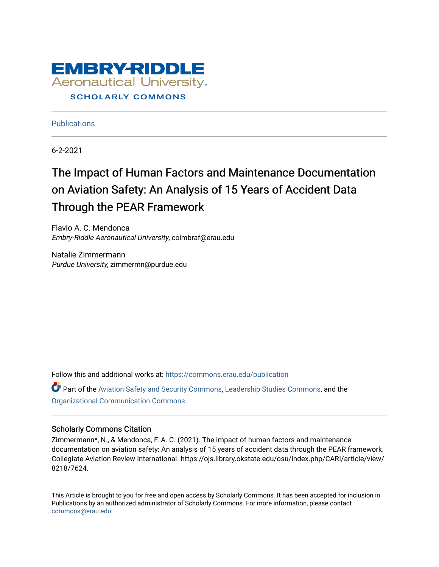

**Publications** 

6-2-2021

# The Impact of Human Factors and Maintenance Documentation on Aviation Safety: An Analysis of 15 Years of Accident Data Through the PEAR Framework

Flavio A. C. Mendonca Embry-Riddle Aeronautical University, coimbraf@erau.edu

Natalie Zimmermann Purdue University, zimmermn@purdue.edu

Follow this and additional works at: [https://commons.erau.edu/publication](https://commons.erau.edu/publication?utm_source=commons.erau.edu%2Fpublication%2F1694&utm_medium=PDF&utm_campaign=PDFCoverPages) 

Part of the [Aviation Safety and Security Commons,](http://network.bepress.com/hgg/discipline/1320?utm_source=commons.erau.edu%2Fpublication%2F1694&utm_medium=PDF&utm_campaign=PDFCoverPages) [Leadership Studies Commons](http://network.bepress.com/hgg/discipline/1250?utm_source=commons.erau.edu%2Fpublication%2F1694&utm_medium=PDF&utm_campaign=PDFCoverPages), and the [Organizational Communication Commons](http://network.bepress.com/hgg/discipline/335?utm_source=commons.erau.edu%2Fpublication%2F1694&utm_medium=PDF&utm_campaign=PDFCoverPages)

#### Scholarly Commons Citation

Zimmermann\*, N., & Mendonca, F. A. C. (2021). The impact of human factors and maintenance documentation on aviation safety: An analysis of 15 years of accident data through the PEAR framework. Collegiate Aviation Review International. https://ojs.library.okstate.edu/osu/index.php/CARI/article/view/ 8218/7624.

This Article is brought to you for free and open access by Scholarly Commons. It has been accepted for inclusion in Publications by an authorized administrator of Scholarly Commons. For more information, please contact [commons@erau.edu](mailto:commons@erau.edu).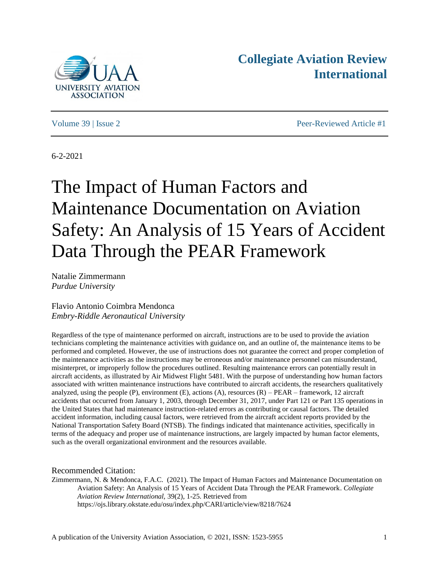



Volume 39 | Issue 2 Peer-Reviewed Article #1

6-2-2021

# The Impact of Human Factors and Maintenance Documentation on Aviation Safety: An Analysis of 15 Years of Accident Data Through the PEAR Framework

Natalie Zimmermann *Purdue University*

Flavio Antonio Coimbra Mendonca *Embry-Riddle Aeronautical University*

Regardless of the type of maintenance performed on aircraft, instructions are to be used to provide the aviation technicians completing the maintenance activities with guidance on, and an outline of, the maintenance items to be performed and completed. However, the use of instructions does not guarantee the correct and proper completion of the maintenance activities as the instructions may be erroneous and/or maintenance personnel can misunderstand, misinterpret, or improperly follow the procedures outlined. Resulting maintenance errors can potentially result in aircraft accidents, as illustrated by Air Midwest Flight 5481. With the purpose of understanding how human factors associated with written maintenance instructions have contributed to aircraft accidents, the researchers qualitatively analyzed, using the people  $(P)$ , environment  $(E)$ , actions  $(A)$ , resources  $(R)$  – PEAR – framework, 12 aircraft accidents that occurred from January 1, 2003, through December 31, 2017, under Part 121 or Part 135 operations in the United States that had maintenance instruction-related errors as contributing or causal factors. The detailed accident information, including causal factors, were retrieved from the aircraft accident reports provided by the National Transportation Safety Board (NTSB). The findings indicated that maintenance activities, specifically in terms of the adequacy and proper use of maintenance instructions, are largely impacted by human factor elements, such as the overall organizational environment and the resources available.

Recommended Citation:

Zimmermann, N. & Mendonca, F.A.C. (2021). The Impact of Human Factors and Maintenance Documentation on Aviation Safety: An Analysis of 15 Years of Accident Data Through the PEAR Framework. *Collegiate Aviation Review International,* 39(2), 1-25. Retrieved from https://ojs.library.okstate.edu/osu/index.php/CARI/article/view/8218/7624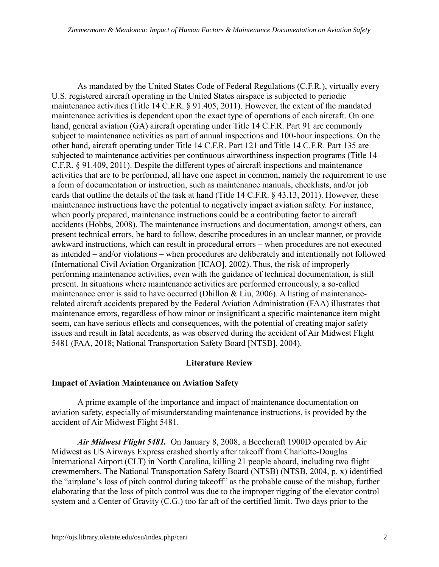As mandated by the United States Code of Federal Regulations (C.F.R.), virtually every U.S. registered aircraft operating in the United States airspace is subjected to periodic maintenance activities (Title 14 C.F.R. § 91.405, 2011). However, the extent of the mandated maintenance activities is dependent upon the exact type of operations of each aircraft. On one hand, general aviation (GA) aircraft operating under Title 14 C.F.R. Part 91 are commonly subject to maintenance activities as part of annual inspections and 100-hour inspections. On the other hand, aircraft operating under Title 14 C.F.R. Part 121 and Title 14 C.F.R. Part 135 are subjected to maintenance activities per continuous airworthiness inspection programs (Title 14 C.F.R. § 91.409, 2011). Despite the different types of aircraft inspections and maintenance activities that are to be performed, all have one aspect in common, namely the requirement to use a form of documentation or instruction, such as maintenance manuals, checklists, and/or job cards that outline the details of the task at hand (Title 14 C.F.R. § 43.13, 2011). However, these maintenance instructions have the potential to negatively impact aviation safety. For instance, when poorly prepared, maintenance instructions could be a contributing factor to aircraft accidents (Hobbs, 2008). The maintenance instructions and documentation, amongst others, can present technical errors, be hard to follow, describe procedures in an unclear manner, or provide awkward instructions, which can result in procedural errors – when procedures are not executed as intended – and/or violations – when procedures are deliberately and intentionally not followed (International Civil Aviation Organization [ICAO], 2002). Thus, the risk of improperly performing maintenance activities, even with the guidance of technical documentation, is still present. In situations where maintenance activities are performed erroneously, a so-called maintenance error is said to have occurred (Dhillon & Liu, 2006). A listing of maintenancerelated aircraft accidents prepared by the Federal Aviation Administration (FAA) illustrates that maintenance errors, regardless of how minor or insignificant a specific maintenance item might seem, can have serious effects and consequences, with the potential of creating major safety issues and result in fatal accidents, as was observed during the accident of Air Midwest Flight 5481 (FAA, 2018; National Transportation Safety Board [NTSB], 2004).

# **Literature Review**

# **Impact of Aviation Maintenance on Aviation Safety**

A prime example of the importance and impact of maintenance documentation on aviation safety, especially of misunderstanding maintenance instructions, is provided by the accident of Air Midwest Flight 5481.

*Air Midwest Flight 5481.* On January 8, 2008, a Beechcraft 1900D operated by Air Midwest as US Airways Express crashed shortly after takeoff from Charlotte-Douglas International Airport (CLT) in North Carolina, killing 21 people aboard, including two flight crewmembers. The National Transportation Safety Board (NTSB) (NTSB, 2004, p. x) identified the "airplane's loss of pitch control during takeoff" as the probable cause of the mishap, further elaborating that the loss of pitch control was due to the improper rigging of the elevator control system and a Center of Gravity (C.G.) too far aft of the certified limit. Two days prior to the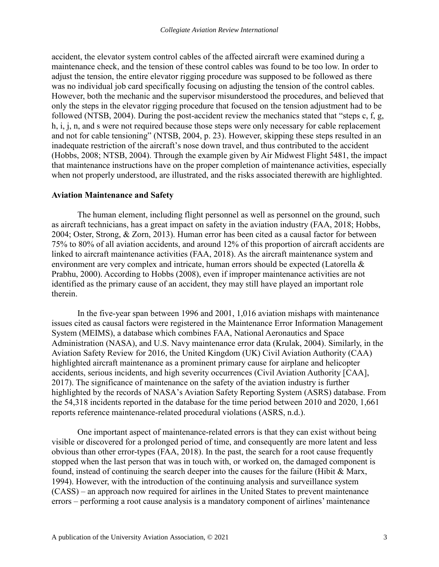accident, the elevator system control cables of the affected aircraft were examined during a maintenance check, and the tension of these control cables was found to be too low. In order to adjust the tension, the entire elevator rigging procedure was supposed to be followed as there was no individual job card specifically focusing on adjusting the tension of the control cables. However, both the mechanic and the supervisor misunderstood the procedures, and believed that only the steps in the elevator rigging procedure that focused on the tension adjustment had to be followed (NTSB, 2004). During the post-accident review the mechanics stated that "steps c, f, g, h, i, j, n, and s were not required because those steps were only necessary for cable replacement and not for cable tensioning" (NTSB, 2004, p. 23). However, skipping these steps resulted in an inadequate restriction of the aircraft's nose down travel, and thus contributed to the accident (Hobbs, 2008; NTSB, 2004). Through the example given by Air Midwest Flight 5481, the impact that maintenance instructions have on the proper completion of maintenance activities, especially when not properly understood, are illustrated, and the risks associated therewith are highlighted.

# **Aviation Maintenance and Safety**

The human element, including flight personnel as well as personnel on the ground, such as aircraft technicians, has a great impact on safety in the aviation industry (FAA, 2018; Hobbs, 2004; Oster, Strong, & Zorn, 2013). Human error has been cited as a causal factor for between 75% to 80% of all aviation accidents, and around 12% of this proportion of aircraft accidents are linked to aircraft maintenance activities (FAA, 2018). As the aircraft maintenance system and environment are very complex and intricate, human errors should be expected (Latorella & Prabhu, 2000). According to Hobbs (2008), even if improper maintenance activities are not identified as the primary cause of an accident, they may still have played an important role therein.

In the five-year span between 1996 and 2001, 1,016 aviation mishaps with maintenance issues cited as causal factors were registered in the Maintenance Error Information Management System (MEIMS), a database which combines FAA, National Aeronautics and Space Administration (NASA), and U.S. Navy maintenance error data (Krulak, 2004). Similarly, in the Aviation Safety Review for 2016, the United Kingdom (UK) Civil Aviation Authority (CAA) highlighted aircraft maintenance as a prominent primary cause for airplane and helicopter accidents, serious incidents, and high severity occurrences (Civil Aviation Authority [CAA], 2017). The significance of maintenance on the safety of the aviation industry is further highlighted by the records of NASA's Aviation Safety Reporting System (ASRS) database. From the 54,318 incidents reported in the database for the time period between 2010 and 2020, 1,661 reports reference maintenance-related procedural violations (ASRS, n.d.).

One important aspect of maintenance-related errors is that they can exist without being visible or discovered for a prolonged period of time, and consequently are more latent and less obvious than other error-types (FAA, 2018). In the past, the search for a root cause frequently stopped when the last person that was in touch with, or worked on, the damaged component is found, instead of continuing the search deeper into the causes for the failure (Hibit & Marx, 1994). However, with the introduction of the continuing analysis and surveillance system (CASS) – an approach now required for airlines in the United States to prevent maintenance errors – performing a root cause analysis is a mandatory component of airlines' maintenance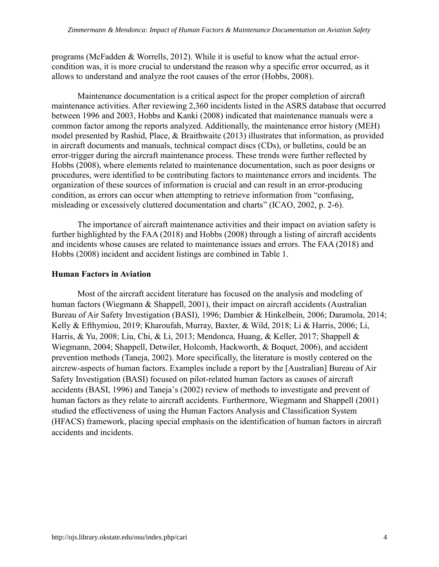programs (McFadden & Worrells, 2012). While it is useful to know what the actual errorcondition was, it is more crucial to understand the reason why a specific error occurred, as it allows to understand and analyze the root causes of the error (Hobbs, 2008).

Maintenance documentation is a critical aspect for the proper completion of aircraft maintenance activities. After reviewing 2,360 incidents listed in the ASRS database that occurred between 1996 and 2003, Hobbs and Kanki (2008) indicated that maintenance manuals were a common factor among the reports analyzed. Additionally, the maintenance error history (MEH) model presented by Rashid, Place, & Braithwaite (2013) illustrates that information, as provided in aircraft documents and manuals, technical compact discs (CDs), or bulletins, could be an error-trigger during the aircraft maintenance process. These trends were further reflected by Hobbs (2008), where elements related to maintenance documentation, such as poor designs or procedures, were identified to be contributing factors to maintenance errors and incidents. The organization of these sources of information is crucial and can result in an error-producing condition, as errors can occur when attempting to retrieve information from "confusing, misleading or excessively cluttered documentation and charts" (ICAO, 2002, p. 2-6).

The importance of aircraft maintenance activities and their impact on aviation safety is further highlighted by the FAA (2018) and Hobbs (2008) through a listing of aircraft accidents and incidents whose causes are related to maintenance issues and errors. The FAA (2018) and Hobbs (2008) incident and accident listings are combined in Table 1.

# **Human Factors in Aviation**

Most of the aircraft accident literature has focused on the analysis and modeling of human factors (Wiegmann & Shappell, 2001), their impact on aircraft accidents (Australian Bureau of Air Safety Investigation (BASI), 1996; Dambier & Hinkelbein, 2006; Daramola, 2014; Kelly & Efthymiou, 2019; Kharoufah, Murray, Baxter, & Wild, 2018; Li & Harris, 2006; Li, Harris, & Yu, 2008; Liu, Chi, & Li, 2013; Mendonca, Huang, & Keller, 2017; Shappell & Wiegmann, 2004; Shappell, Detwiler, Holcomb, Hackworth, & Boquet, 2006), and accident prevention methods (Taneja, 2002). More specifically, the literature is mostly centered on the aircrew-aspects of human factors. Examples include a report by the [Australian] Bureau of Air Safety Investigation (BASI) focused on pilot-related human factors as causes of aircraft accidents (BASI, 1996) and Taneja's (2002) review of methods to investigate and prevent of human factors as they relate to aircraft accidents. Furthermore, Wiegmann and Shappell (2001) studied the effectiveness of using the Human Factors Analysis and Classification System (HFACS) framework, placing special emphasis on the identification of human factors in aircraft accidents and incidents.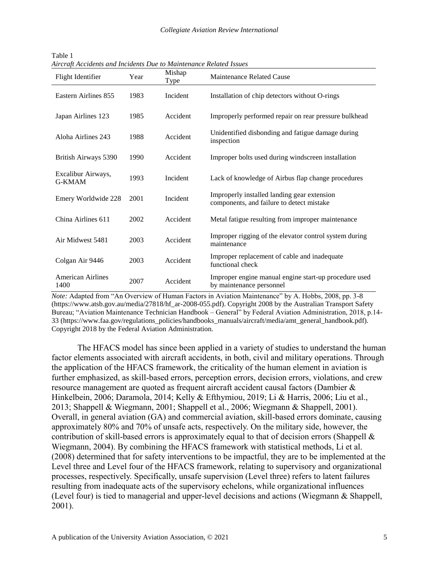| Flight Identifier                   | Year | Mishap<br>Type | Maintenance Related Cause                                                                |
|-------------------------------------|------|----------------|------------------------------------------------------------------------------------------|
| Eastern Airlines 855                | 1983 | Incident       | Installation of chip detectors without O-rings                                           |
| Japan Airlines 123                  | 1985 | Accident       | Improperly performed repair on rear pressure bulkhead                                    |
| Aloha Airlines 243                  | 1988 | Accident       | Unidentified disbonding and fatigue damage during<br>inspection                          |
| British Airways 5390                | 1990 | Accident       | Improper bolts used during windscreen installation                                       |
| Excalibur Airways,<br><b>G-KMAM</b> | 1993 | Incident       | Lack of knowledge of Airbus flap change procedures                                       |
| Emery Worldwide 228                 | 2001 | Incident       | Improperly installed landing gear extension<br>components, and failure to detect mistake |
| China Airlines 611                  | 2002 | Accident       | Metal fatigue resulting from improper maintenance                                        |
| Air Midwest 5481                    | 2003 | Accident       | Improper rigging of the elevator control system during<br>maintenance                    |
| Colgan Air 9446                     | 2003 | Accident       | Improper replacement of cable and inadequate<br>functional check                         |
| <b>American Airlines</b><br>1400    | 2007 | Accident       | Improper engine manual engine start-up procedure used<br>by maintenance personnel        |

Table 1 *Aircraft Accidents and Incidents Due to Maintenance Related Issues*

*Note:* Adapted from "An Overview of Human Factors in Aviation Maintenance" by A. Hobbs, 2008, pp. 3-8 (https://www.atsb.gov.au/media/27818/hf\_ar-2008-055.pdf). Copyright 2008 by the Australian Transport Safety Bureau; "Aviation Maintenance Technician Handbook – General" by Federal Aviation Administration, 2018, p.14- 33 (https://www.faa.gov/regulations\_policies/handbooks\_manuals/aircraft/media/amt\_general\_handbook.pdf). Copyright 2018 by the Federal Aviation Administration.

The HFACS model has since been applied in a variety of studies to understand the human factor elements associated with aircraft accidents, in both, civil and military operations. Through the application of the HFACS framework, the criticality of the human element in aviation is further emphasized, as skill-based errors, perception errors, decision errors, violations, and crew resource management are quoted as frequent aircraft accident causal factors (Dambier & Hinkelbein, 2006; Daramola, 2014; Kelly & Efthymiou, 2019; Li & Harris, 2006; Liu et al., 2013; Shappell & Wiegmann, 2001; Shappell et al., 2006; Wiegmann & Shappell, 2001). Overall, in general aviation (GA) and commercial aviation, skill-based errors dominate, causing approximately 80% and 70% of unsafe acts, respectively. On the military side, however, the contribution of skill-based errors is approximately equal to that of decision errors (Shappell & Wiegmann, 2004). By combining the HFACS framework with statistical methods, Li et al. (2008) determined that for safety interventions to be impactful, they are to be implemented at the Level three and Level four of the HFACS framework, relating to supervisory and organizational processes, respectively. Specifically, unsafe supervision (Level three) refers to latent failures resulting from inadequate acts of the supervisory echelons, while organizational influences (Level four) is tied to managerial and upper-level decisions and actions (Wiegmann & Shappell, 2001).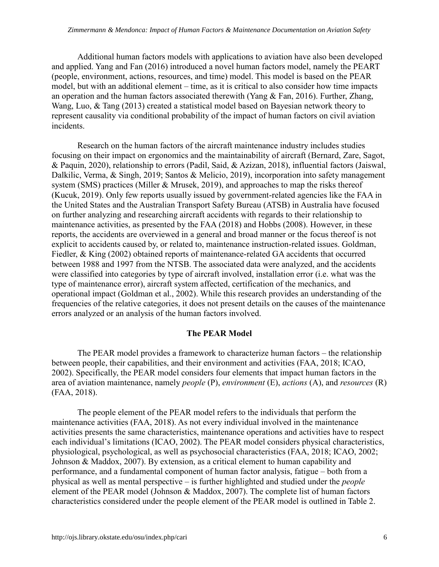Additional human factors models with applications to aviation have also been developed and applied. Yang and Fan (2016) introduced a novel human factors model, namely the PEART (people, environment, actions, resources, and time) model. This model is based on the PEAR model, but with an additional element – time, as it is critical to also consider how time impacts an operation and the human factors associated therewith (Yang & Fan, 2016). Further, Zhang, Wang, Luo, & Tang (2013) created a statistical model based on Bayesian network theory to represent causality via conditional probability of the impact of human factors on civil aviation incidents.

Research on the human factors of the aircraft maintenance industry includes studies focusing on their impact on ergonomics and the maintainability of aircraft (Bernard, Zare, Sagot, & Paquin, 2020), relationship to errors (Padil, Said, & Azizan, 2018), influential factors (Jaiswal, Dalkilic, Verma, & Singh, 2019; Santos & Melicio, 2019), incorporation into safety management system (SMS) practices (Miller & Mrusek, 2019), and approaches to map the risks thereof (Kucuk, 2019). Only few reports usually issued by government-related agencies like the FAA in the United States and the Australian Transport Safety Bureau (ATSB) in Australia have focused on further analyzing and researching aircraft accidents with regards to their relationship to maintenance activities, as presented by the FAA (2018) and Hobbs (2008). However, in these reports, the accidents are overviewed in a general and broad manner or the focus thereof is not explicit to accidents caused by, or related to, maintenance instruction-related issues. Goldman, Fiedler, & King (2002) obtained reports of maintenance-related GA accidents that occurred between 1988 and 1997 from the NTSB. The associated data were analyzed, and the accidents were classified into categories by type of aircraft involved, installation error (i.e. what was the type of maintenance error), aircraft system affected, certification of the mechanics, and operational impact (Goldman et al., 2002). While this research provides an understanding of the frequencies of the relative categories, it does not present details on the causes of the maintenance errors analyzed or an analysis of the human factors involved.

# **The PEAR Model**

The PEAR model provides a framework to characterize human factors – the relationship between people, their capabilities, and their environment and activities (FAA, 2018; ICAO, 2002). Specifically, the PEAR model considers four elements that impact human factors in the area of aviation maintenance, namely *people* (P), *environment* (E), *actions* (A), and *resources* (R) (FAA, 2018).

The people element of the PEAR model refers to the individuals that perform the maintenance activities (FAA, 2018). As not every individual involved in the maintenance activities presents the same characteristics, maintenance operations and activities have to respect each individual's limitations (ICAO, 2002). The PEAR model considers physical characteristics, physiological, psychological, as well as psychosocial characteristics (FAA, 2018; ICAO, 2002; Johnson & Maddox, 2007). By extension, as a critical element to human capability and performance, and a fundamental component of human factor analysis, fatigue – both from a physical as well as mental perspective – is further highlighted and studied under the *people* element of the PEAR model (Johnson & Maddox, 2007). The complete list of human factors characteristics considered under the people element of the PEAR model is outlined in Table 2.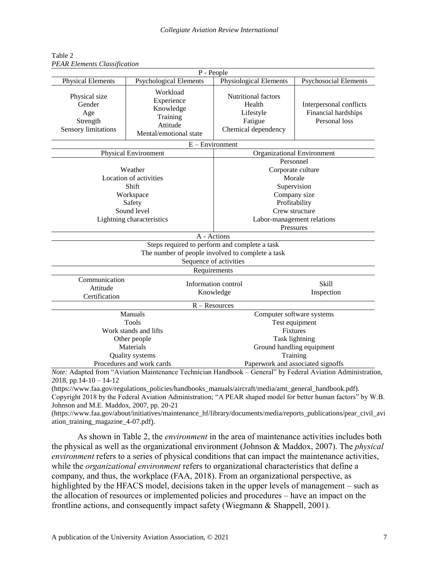| P - People                                                                                    |                                                                                                                                             |                                                                                          |                                                                 |  |  |  |
|-----------------------------------------------------------------------------------------------|---------------------------------------------------------------------------------------------------------------------------------------------|------------------------------------------------------------------------------------------|-----------------------------------------------------------------|--|--|--|
| <b>Physical Elements</b>                                                                      | <b>Psychological Elements</b>                                                                                                               | Physiological Elements                                                                   | <b>Psychosocial Elements</b>                                    |  |  |  |
| Physical size<br>Gender<br>Age<br>Strength<br>Sensory limitations                             | Workload<br>Experience<br>Knowledge<br>Training<br>Attitude<br>Mental/emotional state                                                       | <b>Nutritional factors</b><br>Health<br>Lifestyle<br>Fatigue<br>Chemical dependency      | Interpersonal conflicts<br>Financial hardships<br>Personal loss |  |  |  |
|                                                                                               |                                                                                                                                             | $E$ – Environment                                                                        |                                                                 |  |  |  |
|                                                                                               | <b>Physical Environment</b>                                                                                                                 |                                                                                          | <b>Organizational Environment</b>                               |  |  |  |
|                                                                                               | Weather<br>Location of activities<br>Shift<br>Workspace<br>Safety                                                                           | Personnel<br>Corporate culture<br>Morale<br>Supervision<br>Company size<br>Profitability |                                                                 |  |  |  |
|                                                                                               | Sound level                                                                                                                                 | Crew structure                                                                           |                                                                 |  |  |  |
| Lightning characteristics                                                                     |                                                                                                                                             | Labor-management relations<br>Pressures                                                  |                                                                 |  |  |  |
|                                                                                               |                                                                                                                                             | A - Actions                                                                              |                                                                 |  |  |  |
|                                                                                               | Steps required to perform and complete a task<br>The number of people involved to complete a task<br>Sequence of activities<br>Requirements |                                                                                          |                                                                 |  |  |  |
| Communication<br>Attitude<br>Certification                                                    |                                                                                                                                             | Information control<br>Knowledge<br>$R - Resources$                                      | <b>Skill</b><br>Inspection                                      |  |  |  |
|                                                                                               | Manuals                                                                                                                                     |                                                                                          | Computer software systems                                       |  |  |  |
| Tools                                                                                         |                                                                                                                                             |                                                                                          | Test equipment                                                  |  |  |  |
|                                                                                               | Work stands and lifts                                                                                                                       |                                                                                          | <b>Fixtures</b>                                                 |  |  |  |
|                                                                                               | Other people                                                                                                                                | Task lightning                                                                           |                                                                 |  |  |  |
|                                                                                               | Materials                                                                                                                                   |                                                                                          | Ground handling equipment                                       |  |  |  |
| Quality systems<br>Training<br>Procedures and work cards<br>Paperwork and associated signoffs |                                                                                                                                             |                                                                                          |                                                                 |  |  |  |

Table 2 *PEAR Elements Classification*

*Note:* Adapted from "Aviation Maintenance Technician Handbook – General" by Federal Aviation Administration, 2018, pp.  $14 - 10 - 14 - 12$ 

(https://www.faa.gov/regulations\_policies/handbooks\_manuals/aircraft/media/amt\_general\_handbook.pdf). Copyright 2018 by the Federal Aviation Administration; "A PEAR shaped model for better human factors" by W.B. Johnson and M.E. Maddox, 2007, pp. 20-21

(https://www.faa.gov/about/initiatives/maintenance\_hf/library/documents/media/reports\_publications/pear\_civil\_avi ation\_training\_magazine\_4-07.pdf).

As shown in Table 2, the *environment* in the area of maintenance activities includes both the physical as well as the organizational environment (Johnson & Maddox, 2007). The *physical environment* refers to a series of physical conditions that can impact the maintenance activities, while the *organizational environment* refers to organizational characteristics that define a company, and thus, the workplace (FAA, 2018). From an organizational perspective, as highlighted by the HFACS model, decisions taken in the upper levels of management – such as the allocation of resources or implemented policies and procedures – have an impact on the frontline actions, and consequently impact safety (Wiegmann & Shappell, 2001).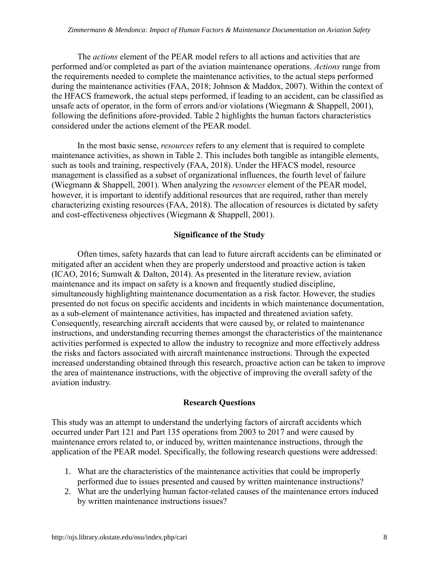The *actions* element of the PEAR model refers to all actions and activities that are performed and/or completed as part of the aviation maintenance operations. *Actions* range from the requirements needed to complete the maintenance activities, to the actual steps performed during the maintenance activities (FAA, 2018; Johnson & Maddox, 2007). Within the context of the HFACS framework, the actual steps performed, if leading to an accident, can be classified as unsafe acts of operator, in the form of errors and/or violations (Wiegmann & Shappell, 2001), following the definitions afore-provided. Table 2 highlights the human factors characteristics considered under the actions element of the PEAR model.

In the most basic sense, *resources* refers to any element that is required to complete maintenance activities, as shown in Table 2. This includes both tangible as intangible elements, such as tools and training, respectively (FAA, 2018). Under the HFACS model, resource management is classified as a subset of organizational influences, the fourth level of failure (Wiegmann & Shappell, 2001). When analyzing the *resources* element of the PEAR model, however, it is important to identify additional resources that are required, rather than merely characterizing existing resources (FAA, 2018). The allocation of resources is dictated by safety and cost-effectiveness objectives (Wiegmann & Shappell, 2001).

# **Significance of the Study**

Often times, safety hazards that can lead to future aircraft accidents can be eliminated or mitigated after an accident when they are properly understood and proactive action is taken (ICAO, 2016; Sumwalt & Dalton, 2014). As presented in the literature review, aviation maintenance and its impact on safety is a known and frequently studied discipline, simultaneously highlighting maintenance documentation as a risk factor. However, the studies presented do not focus on specific accidents and incidents in which maintenance documentation, as a sub-element of maintenance activities, has impacted and threatened aviation safety. Consequently, researching aircraft accidents that were caused by, or related to maintenance instructions, and understanding recurring themes amongst the characteristics of the maintenance activities performed is expected to allow the industry to recognize and more effectively address the risks and factors associated with aircraft maintenance instructions. Through the expected increased understanding obtained through this research, proactive action can be taken to improve the area of maintenance instructions, with the objective of improving the overall safety of the aviation industry.

# **Research Questions**

This study was an attempt to understand the underlying factors of aircraft accidents which occurred under Part 121 and Part 135 operations from 2003 to 2017 and were caused by maintenance errors related to, or induced by, written maintenance instructions, through the application of the PEAR model. Specifically, the following research questions were addressed:

- 1. What are the characteristics of the maintenance activities that could be improperly performed due to issues presented and caused by written maintenance instructions?
- 2. What are the underlying human factor-related causes of the maintenance errors induced by written maintenance instructions issues?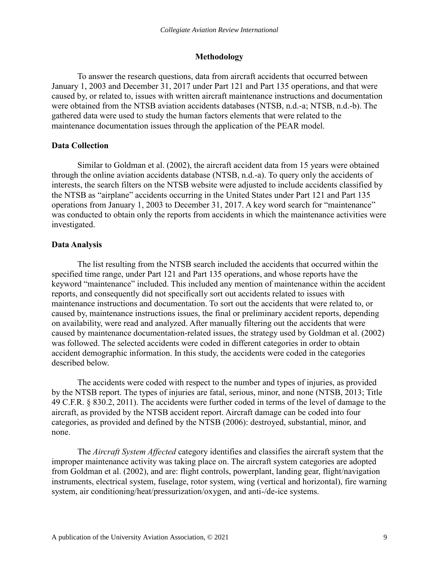#### **Methodology**

To answer the research questions, data from aircraft accidents that occurred between January 1, 2003 and December 31, 2017 under Part 121 and Part 135 operations, and that were caused by, or related to, issues with written aircraft maintenance instructions and documentation were obtained from the NTSB aviation accidents databases (NTSB, n.d.-a; NTSB, n.d.-b). The gathered data were used to study the human factors elements that were related to the maintenance documentation issues through the application of the PEAR model.

# **Data Collection**

Similar to Goldman et al. (2002), the aircraft accident data from 15 years were obtained through the online aviation accidents database (NTSB, n.d.-a). To query only the accidents of interests, the search filters on the NTSB website were adjusted to include accidents classified by the NTSB as "airplane" accidents occurring in the United States under Part 121 and Part 135 operations from January 1, 2003 to December 31, 2017. A key word search for "maintenance" was conducted to obtain only the reports from accidents in which the maintenance activities were investigated.

# **Data Analysis**

The list resulting from the NTSB search included the accidents that occurred within the specified time range, under Part 121 and Part 135 operations, and whose reports have the keyword "maintenance" included. This included any mention of maintenance within the accident reports, and consequently did not specifically sort out accidents related to issues with maintenance instructions and documentation. To sort out the accidents that were related to, or caused by, maintenance instructions issues, the final or preliminary accident reports, depending on availability, were read and analyzed. After manually filtering out the accidents that were caused by maintenance documentation-related issues, the strategy used by Goldman et al. (2002) was followed. The selected accidents were coded in different categories in order to obtain accident demographic information. In this study, the accidents were coded in the categories described below.

The accidents were coded with respect to the number and types of injuries, as provided by the NTSB report. The types of injuries are fatal, serious, minor, and none (NTSB, 2013; Title 49 C.F.R. § 830.2, 2011). The accidents were further coded in terms of the level of damage to the aircraft, as provided by the NTSB accident report. Aircraft damage can be coded into four categories, as provided and defined by the NTSB (2006): destroyed, substantial, minor, and none.

The *Aircraft System Affected* category identifies and classifies the aircraft system that the improper maintenance activity was taking place on. The aircraft system categories are adopted from Goldman et al. (2002), and are: flight controls, powerplant, landing gear, flight/navigation instruments, electrical system, fuselage, rotor system, wing (vertical and horizontal), fire warning system, air conditioning/heat/pressurization/oxygen, and anti-/de-ice systems.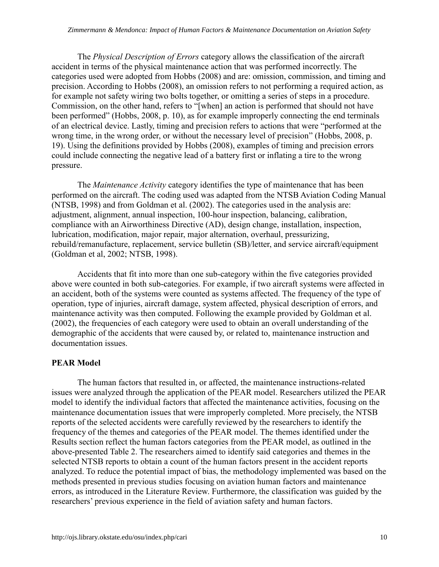The *Physical Description of Errors* category allows the classification of the aircraft accident in terms of the physical maintenance action that was performed incorrectly. The categories used were adopted from Hobbs (2008) and are: omission, commission, and timing and precision. According to Hobbs (2008), an omission refers to not performing a required action, as for example not safety wiring two bolts together, or omitting a series of steps in a procedure. Commission, on the other hand, refers to "[when] an action is performed that should not have been performed" (Hobbs, 2008, p. 10), as for example improperly connecting the end terminals of an electrical device. Lastly, timing and precision refers to actions that were "performed at the wrong time, in the wrong order, or without the necessary level of precision" (Hobbs, 2008, p. 19). Using the definitions provided by Hobbs (2008), examples of timing and precision errors could include connecting the negative lead of a battery first or inflating a tire to the wrong pressure.

The *Maintenance Activity* category identifies the type of maintenance that has been performed on the aircraft. The coding used was adapted from the NTSB Aviation Coding Manual (NTSB, 1998) and from Goldman et al. (2002). The categories used in the analysis are: adjustment, alignment, annual inspection, 100-hour inspection, balancing, calibration, compliance with an Airworthiness Directive (AD), design change, installation, inspection, lubrication, modification, major repair, major alternation, overhaul, pressurizing, rebuild/remanufacture, replacement, service bulletin (SB)/letter, and service aircraft/equipment (Goldman et al, 2002; NTSB, 1998).

Accidents that fit into more than one sub-category within the five categories provided above were counted in both sub-categories. For example, if two aircraft systems were affected in an accident, both of the systems were counted as systems affected. The frequency of the type of operation, type of injuries, aircraft damage, system affected, physical description of errors, and maintenance activity was then computed. Following the example provided by Goldman et al. (2002), the frequencies of each category were used to obtain an overall understanding of the demographic of the accidents that were caused by, or related to, maintenance instruction and documentation issues.

# **PEAR Model**

The human factors that resulted in, or affected, the maintenance instructions-related issues were analyzed through the application of the PEAR model. Researchers utilized the PEAR model to identify the individual factors that affected the maintenance activities, focusing on the maintenance documentation issues that were improperly completed. More precisely, the NTSB reports of the selected accidents were carefully reviewed by the researchers to identify the frequency of the themes and categories of the PEAR model. The themes identified under the Results section reflect the human factors categories from the PEAR model, as outlined in the above-presented Table 2. The researchers aimed to identify said categories and themes in the selected NTSB reports to obtain a count of the human factors present in the accident reports analyzed. To reduce the potential impact of bias, the methodology implemented was based on the methods presented in previous studies focusing on aviation human factors and maintenance errors, as introduced in the Literature Review. Furthermore, the classification was guided by the researchers' previous experience in the field of aviation safety and human factors.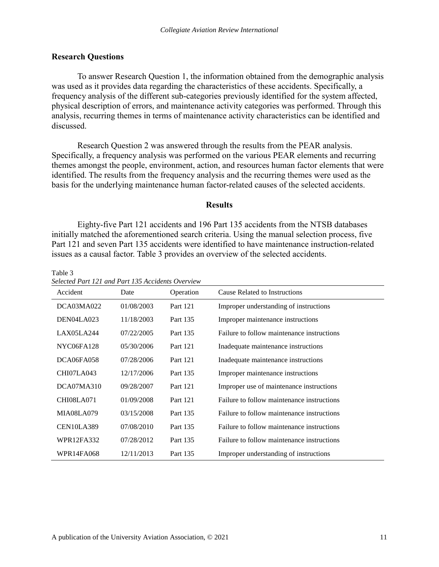# **Research Questions**

To answer Research Question 1, the information obtained from the demographic analysis was used as it provides data regarding the characteristics of these accidents. Specifically, a frequency analysis of the different sub-categories previously identified for the system affected, physical description of errors, and maintenance activity categories was performed. Through this analysis, recurring themes in terms of maintenance activity characteristics can be identified and discussed.

Research Question 2 was answered through the results from the PEAR analysis. Specifically, a frequency analysis was performed on the various PEAR elements and recurring themes amongst the people, environment, action, and resources human factor elements that were identified. The results from the frequency analysis and the recurring themes were used as the basis for the underlying maintenance human factor-related causes of the selected accidents.

# **Results**

Eighty-five Part 121 accidents and 196 Part 135 accidents from the NTSB databases initially matched the aforementioned search criteria. Using the manual selection process, five Part 121 and seven Part 135 accidents were identified to have maintenance instruction-related issues as a causal factor. Table 3 provides an overview of the selected accidents.

| Selected Part 121 and Part 133 Accidents Overview |            |           |                                            |
|---------------------------------------------------|------------|-----------|--------------------------------------------|
| Accident                                          | Date       | Operation | Cause Related to Instructions              |
| DCA03MA022                                        | 01/08/2003 | Part 121  | Improper understanding of instructions     |
| DEN04LA023                                        | 11/18/2003 | Part 135  | Improper maintenance instructions          |
| LAX05LA244                                        | 07/22/2005 | Part 135  | Failure to follow maintenance instructions |
| NYC06FA128                                        | 05/30/2006 | Part 121  | Inadequate maintenance instructions        |
| DCA06FA058                                        | 07/28/2006 | Part 121  | Inadequate maintenance instructions        |
| CHI07LA043                                        | 12/17/2006 | Part 135  | Improper maintenance instructions          |
| DCA07MA310                                        | 09/28/2007 | Part 121  | Improper use of maintenance instructions   |
| <b>CHI08LA071</b>                                 | 01/09/2008 | Part 121  | Failure to follow maintenance instructions |
| <b>MIA08LA079</b>                                 | 03/15/2008 | Part 135  | Failure to follow maintenance instructions |
| CEN10LA389                                        | 07/08/2010 | Part 135  | Failure to follow maintenance instructions |
| <b>WPR12FA332</b>                                 | 07/28/2012 | Part 135  | Failure to follow maintenance instructions |
| <b>WPR14FA068</b>                                 | 12/11/2013 | Part 135  | Improper understanding of instructions     |

Table 3 *Selected Part 121 and Part 135 Accidents Overview*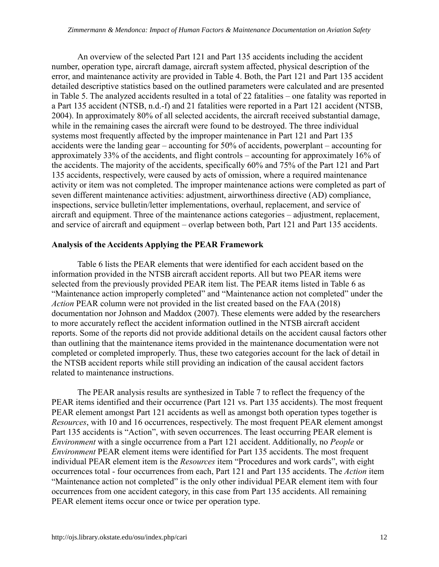An overview of the selected Part 121 and Part 135 accidents including the accident number, operation type, aircraft damage, aircraft system affected, physical description of the error, and maintenance activity are provided in Table 4. Both, the Part 121 and Part 135 accident detailed descriptive statistics based on the outlined parameters were calculated and are presented in Table 5. The analyzed accidents resulted in a total of 22 fatalities – one fatality was reported in a Part 135 accident (NTSB, n.d.-f) and 21 fatalities were reported in a Part 121 accident (NTSB, 2004). In approximately 80% of all selected accidents, the aircraft received substantial damage, while in the remaining cases the aircraft were found to be destroyed. The three individual systems most frequently affected by the improper maintenance in Part 121 and Part 135 accidents were the landing gear – accounting for 50% of accidents, powerplant – accounting for approximately 33% of the accidents, and flight controls – accounting for approximately 16% of the accidents. The majority of the accidents, specifically 60% and 75% of the Part 121 and Part 135 accidents, respectively, were caused by acts of omission, where a required maintenance activity or item was not completed. The improper maintenance actions were completed as part of seven different maintenance activities: adjustment, airworthiness directive (AD) compliance, inspections, service bulletin/letter implementations, overhaul, replacement, and service of aircraft and equipment. Three of the maintenance actions categories – adjustment, replacement, and service of aircraft and equipment – overlap between both, Part 121 and Part 135 accidents.

# **Analysis of the Accidents Applying the PEAR Framework**

Table 6 lists the PEAR elements that were identified for each accident based on the information provided in the NTSB aircraft accident reports. All but two PEAR items were selected from the previously provided PEAR item list. The PEAR items listed in Table 6 as "Maintenance action improperly completed" and "Maintenance action not completed" under the *Action* PEAR column were not provided in the list created based on the FAA (2018) documentation nor Johnson and Maddox (2007). These elements were added by the researchers to more accurately reflect the accident information outlined in the NTSB aircraft accident reports. Some of the reports did not provide additional details on the accident causal factors other than outlining that the maintenance items provided in the maintenance documentation were not completed or completed improperly. Thus, these two categories account for the lack of detail in the NTSB accident reports while still providing an indication of the causal accident factors related to maintenance instructions.

The PEAR analysis results are synthesized in Table 7 to reflect the frequency of the PEAR items identified and their occurrence (Part 121 vs. Part 135 accidents). The most frequent PEAR element amongst Part 121 accidents as well as amongst both operation types together is *Resources*, with 10 and 16 occurrences, respectively. The most frequent PEAR element amongst Part 135 accidents is "Action", with seven occurrences. The least occurring PEAR element is *Environment* with a single occurrence from a Part 121 accident. Additionally, no *People* or *Environment* PEAR element items were identified for Part 135 accidents. The most frequent individual PEAR element item is the *Resources* item "Procedures and work cards", with eight occurrences total - four occurrences from each, Part 121 and Part 135 accidents. The *Action* item "Maintenance action not completed" is the only other individual PEAR element item with four occurrences from one accident category, in this case from Part 135 accidents. All remaining PEAR element items occur once or twice per operation type.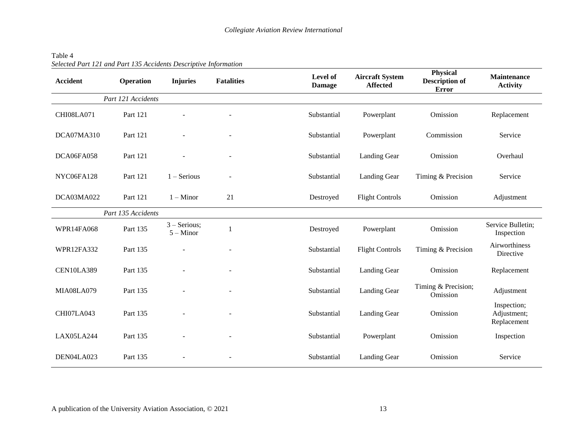#### Table 4 *Selected Part 121 and Part 135 Accidents Descriptive Information*

| <b>Accident</b>   | <b>Operation</b>   | <b>Injuries</b>               | <b>Fatalities</b>        | Level of<br><b>Damage</b> | <b>Aircraft System</b><br><b>Affected</b> | <b>Physical</b><br><b>Description of</b><br><b>Error</b> | <b>Maintenance</b><br><b>Activity</b>     |
|-------------------|--------------------|-------------------------------|--------------------------|---------------------------|-------------------------------------------|----------------------------------------------------------|-------------------------------------------|
|                   | Part 121 Accidents |                               |                          |                           |                                           |                                                          |                                           |
| CHI08LA071        | Part 121           |                               |                          | Substantial               | Powerplant                                | Omission                                                 | Replacement                               |
| DCA07MA310        | Part 121           |                               | $\overline{\phantom{a}}$ | Substantial               | Powerplant                                | Commission                                               | Service                                   |
| DCA06FA058        | Part 121           |                               |                          | Substantial               | Landing Gear                              | Omission                                                 | Overhaul                                  |
| NYC06FA128        | Part 121           | $1 -$ Serious                 |                          | Substantial               | Landing Gear                              | Timing & Precision                                       | Service                                   |
| DCA03MA022        | Part 121           | $1 -$ Minor                   | 21                       | Destroyed                 | <b>Flight Controls</b>                    | Omission                                                 | Adjustment                                |
|                   | Part 135 Accidents |                               |                          |                           |                                           |                                                          |                                           |
| <b>WPR14FA068</b> | Part 135           | $3 -$ Serious;<br>$5 -$ Minor |                          | Destroyed                 | Powerplant                                | Omission                                                 | Service Bulletin;<br>Inspection           |
| <b>WPR12FA332</b> | Part 135           |                               |                          | Substantial               | <b>Flight Controls</b>                    | Timing & Precision                                       | Airworthiness<br>Directive                |
| <b>CEN10LA389</b> | Part 135           |                               | $\overline{\phantom{0}}$ | Substantial               | Landing Gear                              | Omission                                                 | Replacement                               |
| MIA08LA079        | Part 135           |                               |                          | Substantial               | Landing Gear                              | Timing & Precision;<br>Omission                          | Adjustment                                |
| CHI07LA043        | Part 135           |                               |                          | Substantial               | Landing Gear                              | Omission                                                 | Inspection;<br>Adjustment;<br>Replacement |
| LAX05LA244        | Part 135           |                               |                          | Substantial               | Powerplant                                | Omission                                                 | Inspection                                |
| DEN04LA023        | Part 135           |                               |                          | Substantial               | Landing Gear                              | Omission                                                 | Service                                   |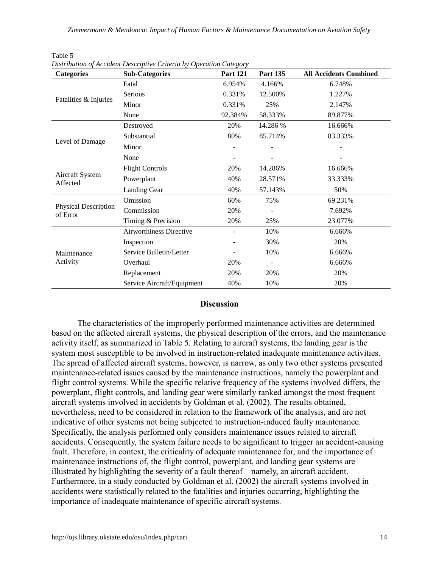| <b>Categories</b>                       | <b>Sub-Categories</b>          | <b>Part 121</b> | <b>Part 135</b> | <b>All Accidents Combined</b> |
|-----------------------------------------|--------------------------------|-----------------|-----------------|-------------------------------|
|                                         | Fatal                          | 6.954%          | 4.166%          | 6.748%                        |
|                                         | Serious                        | 0.331%          | 12.500%         | 1.227%                        |
| Fatalities & Injuries                   | Minor                          | 0.331%          | 25%             | 2.147%                        |
|                                         | None                           | 92.384%         | 58.333%         | 89.877%                       |
|                                         | Destroyed                      | 20%             | 14.286 %        | 16.666%                       |
|                                         | Substantial                    | 80%             | 85.714%         | 83.333%                       |
| Level of Damage                         | Minor                          |                 |                 |                               |
|                                         | None                           |                 |                 |                               |
|                                         | <b>Flight Controls</b>         | 20%             | 14.286%         | 16.666%                       |
| <b>Aircraft System</b><br>Affected      | Powerplant                     | 40%             | 28.571%         | 33.333%                       |
|                                         | Landing Gear                   | 40%             | 57.143%         | 50%                           |
|                                         | Omission                       | 60%             | 75%             | 69.231%                       |
| <b>Physical Description</b><br>of Error | Commission                     | 20%             |                 | 7.692%                        |
|                                         | Timing & Precision             | 20%             | 25%             | 23.077%                       |
|                                         | <b>Airworthiness Directive</b> |                 | 10%             | 6.666%                        |
|                                         | Inspection                     |                 | 30%             | 20%                           |
| Maintenance                             | Service Bulletin/Letter        |                 | 10%             | 6.666%                        |
| Activity                                | Overhaul                       | 20%             | $\blacksquare$  | 6.666%                        |
|                                         | Replacement                    | 20%             | 20%             | 20%                           |
|                                         | Service Aircraft/Equipment     | 40%             | 10%             | 20%                           |

| $1$ ave $J$                                                         |  |  |  |
|---------------------------------------------------------------------|--|--|--|
| Distribution of Accident Descriptive Criteria by Operation Category |  |  |  |

Table 5

# **Discussion**

The characteristics of the improperly performed maintenance activities are determined based on the affected aircraft systems, the physical description of the errors, and the maintenance activity itself, as summarized in Table 5. Relating to aircraft systems, the landing gear is the system most susceptible to be involved in instruction-related inadequate maintenance activities. The spread of affected aircraft systems, however, is narrow, as only two other systems presented maintenance-related issues caused by the maintenance instructions, namely the powerplant and flight control systems. While the specific relative frequency of the systems involved differs, the powerplant, flight controls, and landing gear were similarly ranked amongst the most frequent aircraft systems involved in accidents by Goldman et al. (2002). The results obtained, nevertheless, need to be considered in relation to the framework of the analysis, and are not indicative of other systems not being subjected to instruction-induced faulty maintenance. Specifically, the analysis performed only considers maintenance issues related to aircraft accidents. Consequently, the system failure needs to be significant to trigger an accident-causing fault. Therefore, in context, the criticality of adequate maintenance for, and the importance of maintenance instructions of, the flight control, powerplant, and landing gear systems are illustrated by highlighting the severity of a fault thereof – namely, an aircraft accident. Furthermore, in a study conducted by Goldman et al. (2002) the aircraft systems involved in accidents were statistically related to the fatalities and injuries occurring, highlighting the importance of inadequate maintenance of specific aircraft systems.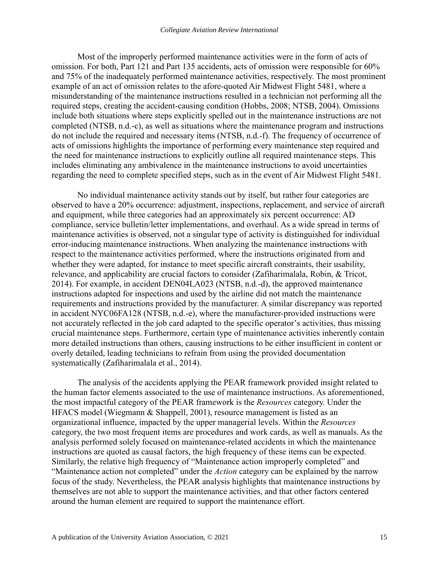Most of the improperly performed maintenance activities were in the form of acts of omission. For both, Part 121 and Part 135 accidents, acts of omission were responsible for 60% and 75% of the inadequately performed maintenance activities, respectively. The most prominent example of an act of omission relates to the afore-quoted Air Midwest Flight 5481, where a misunderstanding of the maintenance instructions resulted in a technician not performing all the required steps, creating the accident-causing condition (Hobbs, 2008; NTSB, 2004). Omissions include both situations where steps explicitly spelled out in the maintenance instructions are not completed (NTSB, n.d.-c), as well as situations where the maintenance program and instructions do not include the required and necessary items (NTSB, n.d.-f). The frequency of occurrence of acts of omissions highlights the importance of performing every maintenance step required and the need for maintenance instructions to explicitly outline all required maintenance steps. This includes eliminating any ambivalence in the maintenance instructions to avoid uncertainties regarding the need to complete specified steps, such as in the event of Air Midwest Flight 5481.

No individual maintenance activity stands out by itself, but rather four categories are observed to have a 20% occurrence: adjustment, inspections, replacement, and service of aircraft and equipment, while three categories had an approximately six percent occurrence: AD compliance, service bulletin/letter implementations, and overhaul. As a wide spread in terms of maintenance activities is observed, not a singular type of activity is distinguished for individual error-inducing maintenance instructions. When analyzing the maintenance instructions with respect to the maintenance activities performed, where the instructions originated from and whether they were adapted, for instance to meet specific aircraft constraints, their usability, relevance, and applicability are crucial factors to consider (Zafiharimalala, Robin, & Tricot, 2014). For example, in accident DEN04LA023 (NTSB, n.d.-d), the approved maintenance instructions adapted for inspections and used by the airline did not match the maintenance requirements and instructions provided by the manufacturer. A similar discrepancy was reported in accident NYC06FA128 (NTSB, n.d.-e), where the manufacturer-provided instructions were not accurately reflected in the job card adapted to the specific operator's activities, thus missing crucial maintenance steps. Furthermore, certain type of maintenance activities inherently contain more detailed instructions than others, causing instructions to be either insufficient in content or overly detailed, leading technicians to refrain from using the provided documentation systematically (Zafiharimalala et al., 2014).

The analysis of the accidents applying the PEAR framework provided insight related to the human factor elements associated to the use of maintenance instructions. As aforementioned, the most impactful category of the PEAR framework is the *Resources* category. Under the HFACS model (Wiegmann & Shappell, 2001), resource management is listed as an organizational influence, impacted by the upper managerial levels. Within the *Resources* category, the two most frequent items are procedures and work cards, as well as manuals. As the analysis performed solely focused on maintenance-related accidents in which the maintenance instructions are quoted as causal factors, the high frequency of these items can be expected. Similarly, the relative high frequency of "Maintenance action improperly completed" and "Maintenance action not completed" under the *Action* category can be explained by the narrow focus of the study. Nevertheless, the PEAR analysis highlights that maintenance instructions by themselves are not able to support the maintenance activities, and that other factors centered around the human element are required to support the maintenance effort.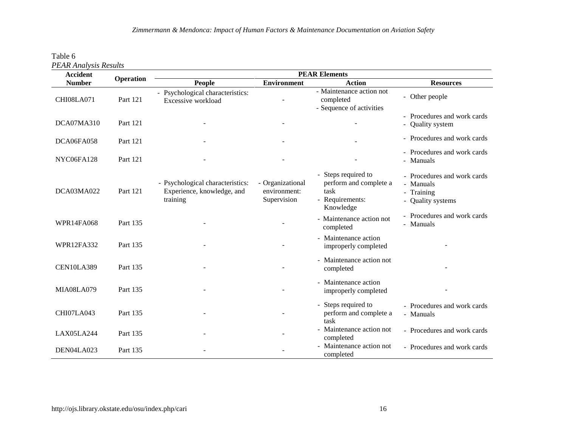| Table 6                      |  |
|------------------------------|--|
| <b>PEAR Analysis Results</b> |  |

| <b>Accident</b>   | <b>Operation</b> | <b>PEAR Elements</b>                                                       |                                                 |                                                                                       |                                                                             |  |
|-------------------|------------------|----------------------------------------------------------------------------|-------------------------------------------------|---------------------------------------------------------------------------------------|-----------------------------------------------------------------------------|--|
| <b>Number</b>     |                  | People                                                                     | <b>Environment</b>                              | <b>Action</b>                                                                         | <b>Resources</b>                                                            |  |
| CHI08LA071        | Part 121         | - Psychological characteristics:<br>Excessive workload                     |                                                 | - Maintenance action not<br>completed<br>- Sequence of activities                     | - Other people                                                              |  |
| DCA07MA310        | Part 121         |                                                                            |                                                 |                                                                                       | - Procedures and work cards<br>- Quality system                             |  |
| DCA06FA058        | Part 121         |                                                                            |                                                 |                                                                                       | - Procedures and work cards                                                 |  |
| NYC06FA128        | Part 121         |                                                                            |                                                 |                                                                                       | - Procedures and work cards<br>- Manuals                                    |  |
| DCA03MA022        | Part 121         | - Psychological characteristics:<br>Experience, knowledge, and<br>training | - Organizational<br>environment:<br>Supervision | - Steps required to<br>perform and complete a<br>task<br>- Requirements:<br>Knowledge | - Procedures and work cards<br>- Manuals<br>- Training<br>- Quality systems |  |
| <b>WPR14FA068</b> | Part 135         |                                                                            |                                                 | - Maintenance action not<br>completed                                                 | - Procedures and work cards<br>- Manuals                                    |  |
| <b>WPR12FA332</b> | Part 135         |                                                                            |                                                 | - Maintenance action<br>improperly completed                                          |                                                                             |  |
| <b>CEN10LA389</b> | Part 135         |                                                                            |                                                 | - Maintenance action not<br>completed                                                 |                                                                             |  |
| MIA08LA079        | Part 135         |                                                                            |                                                 | - Maintenance action<br>improperly completed                                          |                                                                             |  |
| CHI07LA043        | Part 135         |                                                                            |                                                 | - Steps required to<br>perform and complete a<br>task                                 | - Procedures and work cards<br>- Manuals                                    |  |
| LAX05LA244        | Part 135         |                                                                            |                                                 | - Maintenance action not<br>completed                                                 | - Procedures and work cards                                                 |  |
| DEN04LA023        | Part 135         |                                                                            |                                                 | - Maintenance action not<br>completed                                                 | - Procedures and work cards                                                 |  |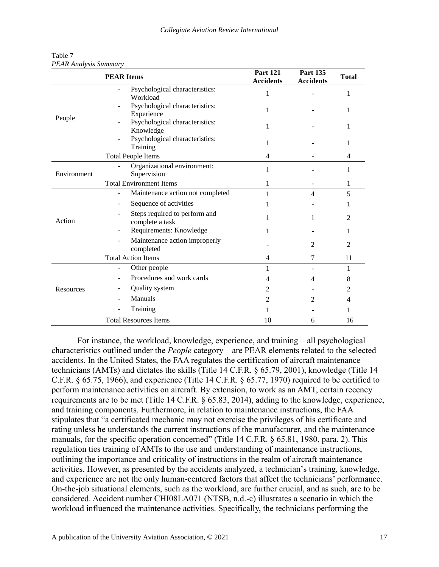| Table 7                      |  |
|------------------------------|--|
| <b>PEAR Analysis Summary</b> |  |

|             | <b>PEAR Items</b>                                | <b>Part 121</b><br><b>Accidents</b> | <b>Part 135</b><br><b>Accidents</b> | <b>Total</b>   |
|-------------|--------------------------------------------------|-------------------------------------|-------------------------------------|----------------|
|             | Psychological characteristics:<br>Workload       | 1                                   |                                     | 1              |
|             | Psychological characteristics:<br>Experience     | 1                                   |                                     | 1              |
| People      | Psychological characteristics:<br>Knowledge      | 1                                   |                                     | 1              |
|             | Psychological characteristics:<br>Ξ.<br>Training | 1                                   |                                     |                |
|             | <b>Total People Items</b>                        | 4                                   |                                     | 4              |
| Environment | Organizational environment:<br>Supervision       | 1                                   |                                     |                |
|             | <b>Total Environment Items</b>                   | 1                                   | 1<br>4                              | 1              |
|             | Maintenance action not completed                 |                                     |                                     | 5              |
|             | Sequence of activities                           | 1                                   |                                     |                |
| Action      | Steps required to perform and<br>complete a task | 1                                   | 1                                   | $\mathcal{L}$  |
|             | Requirements: Knowledge                          |                                     |                                     |                |
|             | Maintenance action improperly<br>÷,<br>completed |                                     | $\mathfrak{D}$                      | $\mathfrak{D}$ |
|             | <b>Total Action Items</b>                        | 4                                   | 7                                   | 11             |
|             | Other people<br>$\overline{\phantom{0}}$         | 1                                   |                                     | 1              |
|             | Procedures and work cards                        | 4                                   | 4                                   | 8              |
| Resources   | Quality system                                   | 2                                   |                                     | 2              |
|             | Manuals                                          | 2                                   | $\mathfrak{D}$                      | 4              |
|             | Training                                         | 1                                   |                                     | 1              |
|             | <b>Total Resources Items</b>                     | 10                                  | 6                                   | 16             |

For instance, the workload, knowledge, experience, and training – all psychological characteristics outlined under the *People* category – are PEAR elements related to the selected accidents. In the United States, the FAA regulates the certification of aircraft maintenance technicians (AMTs) and dictates the skills (Title 14 C.F.R. § 65.79, 2001), knowledge (Title 14 C.F.R. § 65.75, 1966), and experience (Title 14 C.F.R. § 65.77, 1970) required to be certified to perform maintenance activities on aircraft. By extension, to work as an AMT, certain recency requirements are to be met (Title 14 C.F.R. § 65.83, 2014), adding to the knowledge, experience, and training components. Furthermore, in relation to maintenance instructions, the FAA stipulates that "a certificated mechanic may not exercise the privileges of his certificate and rating unless he understands the current instructions of the manufacturer, and the maintenance manuals, for the specific operation concerned" (Title 14 C.F.R. § 65.81, 1980, para. 2). This regulation ties training of AMTs to the use and understanding of maintenance instructions, outlining the importance and criticality of instructions in the realm of aircraft maintenance activities. However, as presented by the accidents analyzed, a technician's training, knowledge, and experience are not the only human-centered factors that affect the technicians' performance. On-the-job situational elements, such as the workload, are further crucial, and as such, are to be considered. Accident number CHI08LA071 (NTSB, n.d.-c) illustrates a scenario in which the workload influenced the maintenance activities. Specifically, the technicians performing the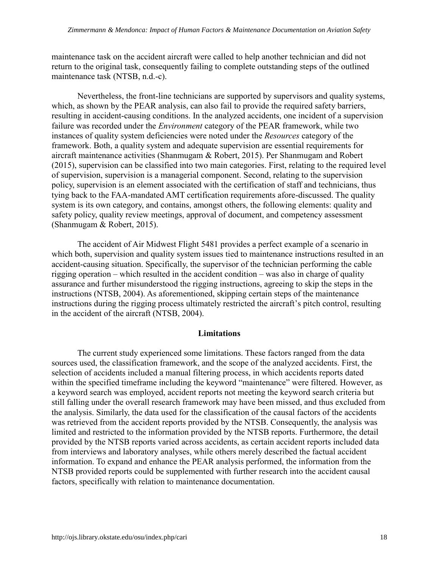maintenance task on the accident aircraft were called to help another technician and did not return to the original task, consequently failing to complete outstanding steps of the outlined maintenance task (NTSB, n.d.-c).

Nevertheless, the front-line technicians are supported by supervisors and quality systems, which, as shown by the PEAR analysis, can also fail to provide the required safety barriers, resulting in accident-causing conditions. In the analyzed accidents, one incident of a supervision failure was recorded under the *Environment* category of the PEAR framework, while two instances of quality system deficiencies were noted under the *Resources* category of the framework. Both, a quality system and adequate supervision are essential requirements for aircraft maintenance activities (Shanmugam & Robert, 2015). Per Shanmugam and Robert (2015), supervision can be classified into two main categories. First, relating to the required level of supervision, supervision is a managerial component. Second, relating to the supervision policy, supervision is an element associated with the certification of staff and technicians, thus tying back to the FAA-mandated AMT certification requirements afore-discussed. The quality system is its own category, and contains, amongst others, the following elements: quality and safety policy, quality review meetings, approval of document, and competency assessment (Shanmugam & Robert, 2015).

The accident of Air Midwest Flight 5481 provides a perfect example of a scenario in which both, supervision and quality system issues tied to maintenance instructions resulted in an accident-causing situation. Specifically, the supervisor of the technician performing the cable rigging operation – which resulted in the accident condition – was also in charge of quality assurance and further misunderstood the rigging instructions, agreeing to skip the steps in the instructions (NTSB, 2004). As aforementioned, skipping certain steps of the maintenance instructions during the rigging process ultimately restricted the aircraft's pitch control, resulting in the accident of the aircraft (NTSB, 2004).

#### **Limitations**

The current study experienced some limitations. These factors ranged from the data sources used, the classification framework, and the scope of the analyzed accidents. First, the selection of accidents included a manual filtering process, in which accidents reports dated within the specified timeframe including the keyword "maintenance" were filtered. However, as a keyword search was employed, accident reports not meeting the keyword search criteria but still falling under the overall research framework may have been missed, and thus excluded from the analysis. Similarly, the data used for the classification of the causal factors of the accidents was retrieved from the accident reports provided by the NTSB. Consequently, the analysis was limited and restricted to the information provided by the NTSB reports. Furthermore, the detail provided by the NTSB reports varied across accidents, as certain accident reports included data from interviews and laboratory analyses, while others merely described the factual accident information. To expand and enhance the PEAR analysis performed, the information from the NTSB provided reports could be supplemented with further research into the accident causal factors, specifically with relation to maintenance documentation.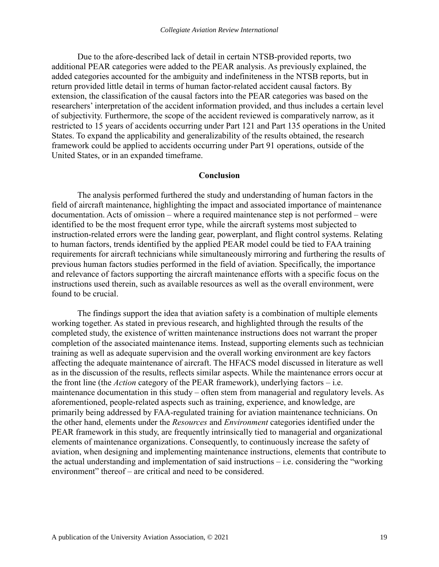Due to the afore-described lack of detail in certain NTSB-provided reports, two additional PEAR categories were added to the PEAR analysis. As previously explained, the added categories accounted for the ambiguity and indefiniteness in the NTSB reports, but in return provided little detail in terms of human factor-related accident causal factors. By extension, the classification of the causal factors into the PEAR categories was based on the researchers' interpretation of the accident information provided, and thus includes a certain level of subjectivity. Furthermore, the scope of the accident reviewed is comparatively narrow, as it restricted to 15 years of accidents occurring under Part 121 and Part 135 operations in the United States. To expand the applicability and generalizability of the results obtained, the research framework could be applied to accidents occurring under Part 91 operations, outside of the United States, or in an expanded timeframe.

#### **Conclusion**

The analysis performed furthered the study and understanding of human factors in the field of aircraft maintenance, highlighting the impact and associated importance of maintenance documentation. Acts of omission – where a required maintenance step is not performed – were identified to be the most frequent error type, while the aircraft systems most subjected to instruction-related errors were the landing gear, powerplant, and flight control systems. Relating to human factors, trends identified by the applied PEAR model could be tied to FAA training requirements for aircraft technicians while simultaneously mirroring and furthering the results of previous human factors studies performed in the field of aviation. Specifically, the importance and relevance of factors supporting the aircraft maintenance efforts with a specific focus on the instructions used therein, such as available resources as well as the overall environment, were found to be crucial.

The findings support the idea that aviation safety is a combination of multiple elements working together. As stated in previous research, and highlighted through the results of the completed study, the existence of written maintenance instructions does not warrant the proper completion of the associated maintenance items. Instead, supporting elements such as technician training as well as adequate supervision and the overall working environment are key factors affecting the adequate maintenance of aircraft. The HFACS model discussed in literature as well as in the discussion of the results, reflects similar aspects. While the maintenance errors occur at the front line (the *Action* category of the PEAR framework), underlying factors – i.e. maintenance documentation in this study – often stem from managerial and regulatory levels. As aforementioned, people-related aspects such as training, experience, and knowledge, are primarily being addressed by FAA-regulated training for aviation maintenance technicians. On the other hand, elements under the *Resources* and *Environment* categories identified under the PEAR framework in this study, are frequently intrinsically tied to managerial and organizational elements of maintenance organizations. Consequently, to continuously increase the safety of aviation, when designing and implementing maintenance instructions, elements that contribute to the actual understanding and implementation of said instructions – i.e. considering the "working environment" thereof – are critical and need to be considered.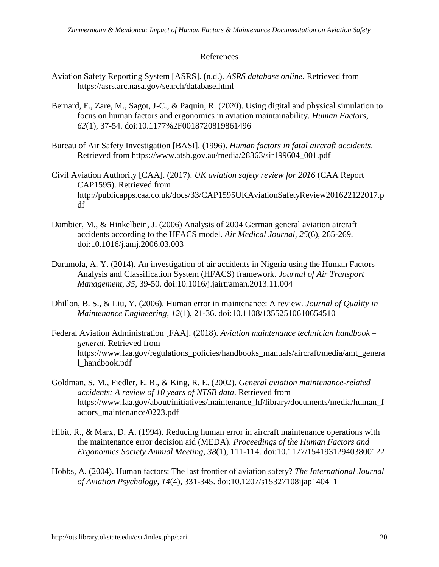# References

- Aviation Safety Reporting System [ASRS]. (n.d.). *ASRS database online.* Retrieved from https://asrs.arc.nasa.gov/search/database.html
- Bernard, F., Zare, M., Sagot, J-C., & Paquin, R. (2020). Using digital and physical simulation to focus on human factors and ergonomics in aviation maintainability. *Human Factors, 62*(1), 37-54. doi:10.1177%2F0018720819861496
- Bureau of Air Safety Investigation [BASI]. (1996). *Human factors in fatal aircraft accidents*. Retrieved from https://www.atsb.gov.au/media/28363/sir199604\_001.pdf
- Civil Aviation Authority [CAA]. (2017). *UK aviation safety review for 2016* (CAA Report CAP1595). Retrieved from http://publicapps.caa.co.uk/docs/33/CAP1595UKAviationSafetyReview201622122017.p df
- Dambier, M., & Hinkelbein, J. (2006) Analysis of 2004 German general aviation aircraft accidents according to the HFACS model. *Air Medical Journal, 25*(6), 265-269. doi:10.1016/j.amj.2006.03.003
- Daramola, A. Y. (2014). An investigation of air accidents in Nigeria using the Human Factors Analysis and Classification System (HFACS) framework. *Journal of Air Transport Management, 35*, 39-50. doi:10.1016/j.jairtraman.2013.11.004
- Dhillon, B. S., & Liu, Y. (2006). Human error in maintenance: A review. *Journal of Quality in Maintenance Engineering, 12*(1), 21-36. doi:10.1108/13552510610654510
- Federal Aviation Administration [FAA]. (2018). *Aviation maintenance technician handbook – general*. Retrieved from https://www.faa.gov/regulations\_policies/handbooks\_manuals/aircraft/media/amt\_genera l\_handbook.pdf
- Goldman, S. M., Fiedler, E. R., & King, R. E. (2002). *General aviation maintenance-related accidents: A review of 10 years of NTSB data*. Retrieved from https://www.faa.gov/about/initiatives/maintenance\_hf/library/documents/media/human\_f actors\_maintenance/0223.pdf
- Hibit, R., & Marx, D. A. (1994). Reducing human error in aircraft maintenance operations with the maintenance error decision aid (MEDA). *Proceedings of the Human Factors and Ergonomics Society Annual Meeting, 38*(1), 111-114. doi:10.1177/154193129403800122
- Hobbs, A. (2004). Human factors: The last frontier of aviation safety? *The International Journal of Aviation Psychology, 14*(4), 331-345. doi:10.1207/s15327108ijap1404\_1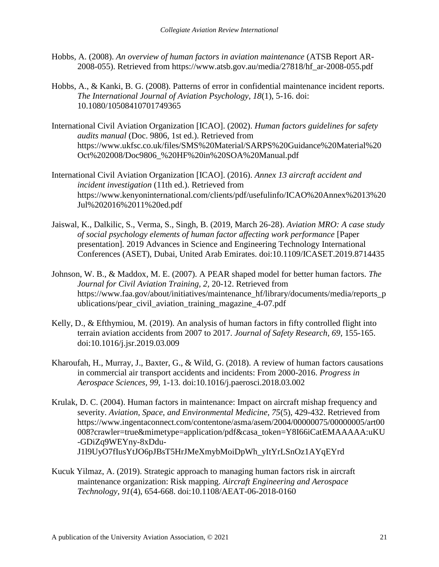- Hobbs, A. (2008). *An overview of human factors in aviation maintenance* (ATSB Report AR-2008-055). Retrieved from https://www.atsb.gov.au/media/27818/hf\_ar-2008-055.pdf
- Hobbs, A., & Kanki, B. G. (2008). Patterns of error in confidential maintenance incident reports. *The International Journal of Aviation Psychology, 18*(1), 5-16. doi: 10.1080/10508410701749365
- International Civil Aviation Organization [ICAO]. (2002). *Human factors guidelines for safety audits manual* (Doc. 9806, 1st ed.). Retrieved from https://www.ukfsc.co.uk/files/SMS%20Material/SARPS%20Guidance%20Material%20 Oct%202008/Doc9806\_%20HF%20in%20SOA%20Manual.pdf
- International Civil Aviation Organization [ICAO]. (2016). *Annex 13 aircraft accident and incident investigation* (11th ed.). Retrieved from https://www.kenyoninternational.com/clients/pdf/usefulinfo/ICAO%20Annex%2013%20 Jul%202016%2011%20ed.pdf
- Jaiswal, K., Dalkilic, S., Verma, S., Singh, B. (2019, March 26-28). *Aviation MRO: A case study of social psychology elements of human factor affecting work performance* [Paper presentation]*.* 2019 Advances in Science and Engineering Technology International Conferences (ASET), Dubai, United Arab Emirates. doi:10.1109/ICASET.2019.8714435
- Johnson, W. B., & Maddox, M. E. (2007). A PEAR shaped model for better human factors. *The Journal for Civil Aviation Training, 2,* 20-12. Retrieved from https://www.faa.gov/about/initiatives/maintenance\_hf/library/documents/media/reports\_p ublications/pear\_civil\_aviation\_training\_magazine\_4-07.pdf
- Kelly, D., & Efthymiou, M. (2019). An analysis of human factors in fifty controlled flight into terrain aviation accidents from 2007 to 2017. *Journal of Safety Research, 69,* 155-165. doi:10.1016/j.jsr.2019.03.009
- Kharoufah, H., Murray, J., Baxter, G., & Wild, G. (2018). A review of human factors causations in commercial air transport accidents and incidents: From 2000-2016. *Progress in Aerospace Sciences, 99,* 1-13. doi:10.1016/j.paerosci.2018.03.002
- Krulak, D. C. (2004). Human factors in maintenance: Impact on aircraft mishap frequency and severity. *Aviation, Space, and Environmental Medicine, 75*(5), 429-432. Retrieved from https://www.ingentaconnect.com/contentone/asma/asem/2004/00000075/00000005/art00 008?crawler=true&mimetype=application/pdf&casa\_token=Y8I66iCatEMAAAAA:uKU -GDiZq9WEYny-8xDdu-J1l9UyO7fIusYtJO6pJBsT5HrJMeXmybMoiDpWh\_yItYrLSnOz1AYqEYrd
- Kucuk Yilmaz, A. (2019). Strategic approach to managing human factors risk in aircraft maintenance organization: Risk mapping. *Aircraft Engineering and Aerospace Technology, 91*(4), 654-668. doi:10.1108/AEAT-06-2018-0160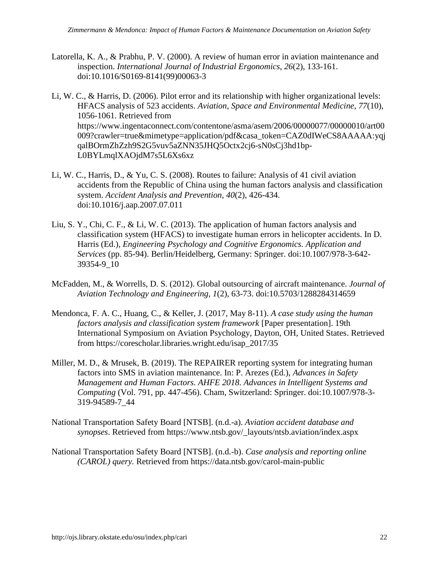- Latorella, K. A., & Prabhu, P. V. (2000). A review of human error in aviation maintenance and inspection. *International Journal of Industrial Ergonomics, 26*(2), 133-161. doi:10.1016/S0169-8141(99)00063-3
- Li, W. C., & Harris, D. (2006). Pilot error and its relationship with higher organizational levels: HFACS analysis of 523 accidents. *Aviation, Space and Environmental Medicine, 77*(10), 1056-1061. Retrieved from https://www.ingentaconnect.com/contentone/asma/asem/2006/00000077/00000010/art00 009?crawler=true&mimetype=application/pdf&casa\_token=CAZ0dIWeCS8AAAAA:yqj qalBOrmZhZzh9S2G5vuv5aZNN35JHQ5Octx2cj6-sN0sCj3hd1bp-L0BYLmqlXAOjdM7s5L6Xs6xz
- Li, W. C., Harris, D., & Yu, C. S. (2008). Routes to failure: Analysis of 41 civil aviation accidents from the Republic of China using the human factors analysis and classification system. *Accident Analysis and Prevention, 40*(2), 426-434. doi:10.1016/j.aap.2007.07.011
- Liu, S. Y., Chi, C. F., & Li, W. C. (2013). The application of human factors analysis and classification system (HFACS) to investigate human errors in helicopter accidents. In D. Harris (Ed.), *Engineering Psychology and Cognitive Ergonomics. Application and Services* (pp. 85-94). Berlin/Heidelberg, Germany: Springer. doi:10.1007/978-3-642- 39354-9\_10
- McFadden, M., & Worrells, D. S. (2012). Global outsourcing of aircraft maintenance. *Journal of Aviation Technology and Engineering, 1*(2), 63-73. doi:10.5703/1288284314659
- Mendonca, F. A. C., Huang, C., & Keller, J. (2017, May 8-11). *A case study using the human factors analysis and classification system framework* [Paper presentation]. 19th International Symposium on Aviation Psychology, Dayton, OH, United States. Retrieved from https://corescholar.libraries.wright.edu/isap\_2017/35
- Miller, M. D., & Mrusek, B. (2019). The REPAIRER reporting system for integrating human factors into SMS in aviation maintenance. In: P. Arezes (Ed.), *Advances in Safety Management and Human Factors. AHFE 2018. Advances in Intelligent Systems and Computing* (Vol. 791, pp. 447-456). Cham, Switzerland: Springer. doi:10.1007/978-3- 319-94589-7\_44
- National Transportation Safety Board [NTSB]. (n.d.-a). *Aviation accident database and synopses*. Retrieved from https://www.ntsb.gov/\_layouts/ntsb.aviation/index.aspx
- National Transportation Safety Board [NTSB]. (n.d.-b). *Case analysis and reporting online (CAROL) query.* Retrieved from https://data.ntsb.gov/carol-main-public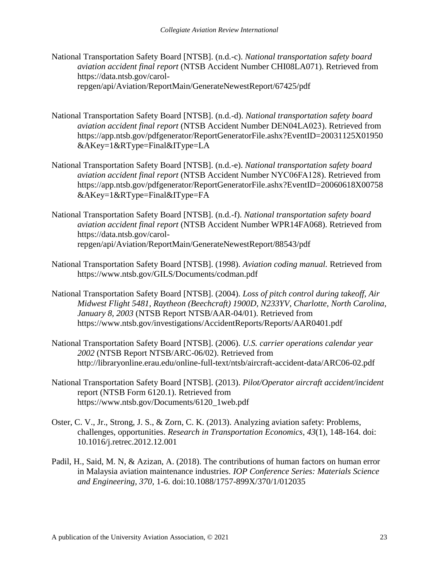- National Transportation Safety Board [NTSB]. (n.d.-c). *National transportation safety board aviation accident final report* (NTSB Accident Number CHI08LA071). Retrieved from https://data.ntsb.gov/carolrepgen/api/Aviation/ReportMain/GenerateNewestReport/67425/pdf
- National Transportation Safety Board [NTSB]. (n.d.-d). *National transportation safety board aviation accident final report* (NTSB Accident Number DEN04LA023). Retrieved from https://app.ntsb.gov/pdfgenerator/ReportGeneratorFile.ashx?EventID=20031125X01950 &AKey=1&RType=Final&IType=LA
- National Transportation Safety Board [NTSB]. (n.d.-e). *National transportation safety board aviation accident final report* (NTSB Accident Number NYC06FA128). Retrieved from https://app.ntsb.gov/pdfgenerator/ReportGeneratorFile.ashx?EventID=20060618X00758 &AKey=1&RType=Final&IType=FA
- National Transportation Safety Board [NTSB]. (n.d.-f). *National transportation safety board aviation accident final report* (NTSB Accident Number WPR14FA068). Retrieved from https://data.ntsb.gov/carolrepgen/api/Aviation/ReportMain/GenerateNewestReport/88543/pdf
- National Transportation Safety Board [NTSB]. (1998). *Aviation coding manual.* Retrieved from https://www.ntsb.gov/GILS/Documents/codman.pdf
- National Transportation Safety Board [NTSB]. (2004). *Loss of pitch control during takeoff, Air Midwest Flight 5481, Raytheon (Beechcraft) 1900D, N233YV, Charlotte, North Carolina, January 8, 2003* (NTSB Report NTSB/AAR-04/01). Retrieved from https://www.ntsb.gov/investigations/AccidentReports/Reports/AAR0401.pdf
- National Transportation Safety Board [NTSB]. (2006). *U.S. carrier operations calendar year 2002* (NTSB Report NTSB/ARC-06/02). Retrieved from http://libraryonline.erau.edu/online-full-text/ntsb/aircraft-accident-data/ARC06-02.pdf
- National Transportation Safety Board [NTSB]. (2013). *Pilot/Operator aircraft accident/incident*  report (NTSB Form 6120.1). Retrieved from https://www.ntsb.gov/Documents/6120\_1web.pdf
- Oster, C. V., Jr., Strong, J. S., & Zorn, C. K. (2013). Analyzing aviation safety: Problems, challenges, opportunities. *Research in Transportation Economics, 43*(1), 148-164. doi: 10.1016/j.retrec.2012.12.001
- Padil, H., Said, M. N, & Azizan, A. (2018). The contributions of human factors on human error in Malaysia aviation maintenance industries. *IOP Conference Series: Materials Science and Engineering, 370,* 1-6. doi:10.1088/1757-899X/370/1/012035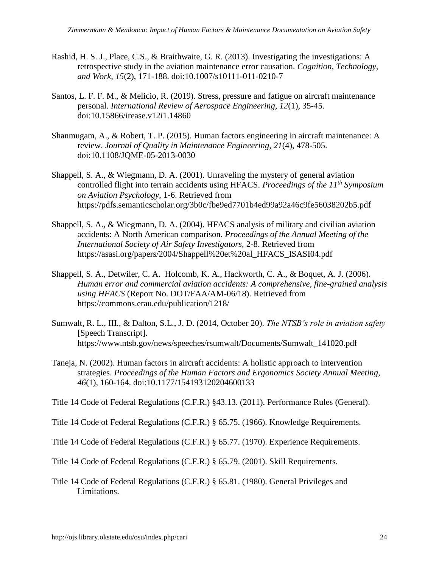- Rashid, H. S. J., Place, C.S., & Braithwaite, G. R. (2013). Investigating the investigations: A retrospective study in the aviation maintenance error causation. *Cognition, Technology, and Work, 15*(2), 171-188. doi:10.1007/s10111-011-0210-7
- Santos, L. F. F. M., & Melicio, R. (2019). Stress, pressure and fatigue on aircraft maintenance personal. *International Review of Aerospace Engineering, 12*(1), 35-45. doi:10.15866/irease.v12i1.14860
- Shanmugam, A., & Robert, T. P. (2015). Human factors engineering in aircraft maintenance: A review. *Journal of Quality in Maintenance Engineering, 21*(4), 478-505. doi:10.1108/JQME-05-2013-0030
- Shappell, S. A., & Wiegmann, D. A. (2001). Unraveling the mystery of general aviation controlled flight into terrain accidents using HFACS. *Proceedings of the 11th Symposium on Aviation Psychology,* 1-6. Retrieved from https://pdfs.semanticscholar.org/3b0c/fbe9ed7701b4ed99a92a46c9fe56038202b5.pdf
- Shappell, S. A., & Wiegmann, D. A. (2004). HFACS analysis of military and civilian aviation accidents: A North American comparison. *Proceedings of the Annual Meeting of the International Society of Air Safety Investigators,* 2-8. Retrieved from https://asasi.org/papers/2004/Shappell%20et%20al\_HFACS\_ISASI04.pdf
- Shappell, S. A., Detwiler, C. A. Holcomb, K. A., Hackworth, C. A., & Boquet, A. J. (2006). *Human error and commercial aviation accidents: A comprehensive, fine-grained analysis using HFACS* (Report No. DOT/FAA/AM-06/18). Retrieved from https://commons.erau.edu/publication/1218/
- Sumwalt, R. L., III., & Dalton, S.L., J. D. (2014, October 20). *The NTSB's role in aviation safety*  [Speech Transcript]. https://www.ntsb.gov/news/speeches/rsumwalt/Documents/Sumwalt\_141020.pdf
- Taneja, N. (2002). Human factors in aircraft accidents: A holistic approach to intervention strategies. *Proceedings of the Human Factors and Ergonomics Society Annual Meeting, 46*(1), 160-164. doi:10.1177/154193120204600133
- Title 14 Code of Federal Regulations (C.F.R.) §43.13. (2011). Performance Rules (General).
- Title 14 Code of Federal Regulations (C.F.R.) § 65.75. (1966). Knowledge Requirements.
- Title 14 Code of Federal Regulations (C.F.R.) § 65.77. (1970). Experience Requirements.

Title 14 Code of Federal Regulations (C.F.R.) § 65.79. (2001). Skill Requirements.

Title 14 Code of Federal Regulations (C.F.R.) § 65.81. (1980). General Privileges and Limitations.